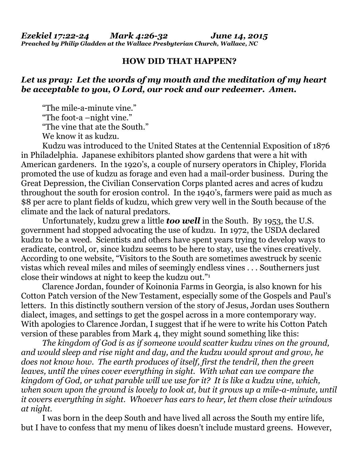## **HOW DID THAT HAPPEN?**

## *Let us pray: Let the words of my mouth and the meditation of my heart be acceptable to you, O Lord, our rock and our redeemer. Amen.*

 "The mile-a-minute vine." "The foot-a –night vine." "The vine that ate the South." We know it as kudzu.

 Kudzu was introduced to the United States at the Centennial Exposition of 1876 in Philadelphia. Japanese exhibitors planted show gardens that were a hit with American gardeners. In the 1920's, a couple of nursery operators in Chipley, Florida promoted the use of kudzu as forage and even had a mail-order business. During the Great Depression, the Civilian Conservation Corps planted acres and acres of kudzu throughout the south for erosion control. In the 1940's, farmers were paid as much as \$8 per acre to plant fields of kudzu, which grew very well in the South because of the climate and the lack of natural predators.

 Unfortunately, kudzu grew a little *too well* in the South. By 1953, the U.S. government had stopped advocating the use of kudzu. In 1972, the USDA declared kudzu to be a weed. Scientists and others have spent years trying to develop ways to eradicate, control, or, since kudzu seems to be here to stay, use the vines creatively. According to one website, "Visitors to the South are sometimes awestruck by scenic vistas which reveal miles and miles of seemingly endless vines . . . Southerners just close their windows at night to keep the kudzu out."1

 Clarence Jordan, founder of Koinonia Farms in Georgia, is also known for his Cotton Patch version of the New Testament, especially some of the Gospels and Paul's letters. In this distinctly southern version of the story of Jesus, Jordan uses Southern dialect, images, and settings to get the gospel across in a more contemporary way. With apologies to Clarence Jordan, I suggest that if he were to write his Cotton Patch version of these parables from Mark 4, they might sound something like this:

*The kingdom of God is as if someone would scatter kudzu vines on the ground, and would sleep and rise night and day, and the kudzu would sprout and grow, he does not know how. The earth produces of itself, first the tendril, then the green leaves, until the vines cover everything in sight. With what can we compare the kingdom of God, or what parable will we use for it? It is like a kudzu vine, which, when sown upon the ground is lovely to look at, but it grows up a mile-a-minute, until it covers everything in sight. Whoever has ears to hear, let them close their windows at night.*

I was born in the deep South and have lived all across the South my entire life, but I have to confess that my menu of likes doesn't include mustard greens. However,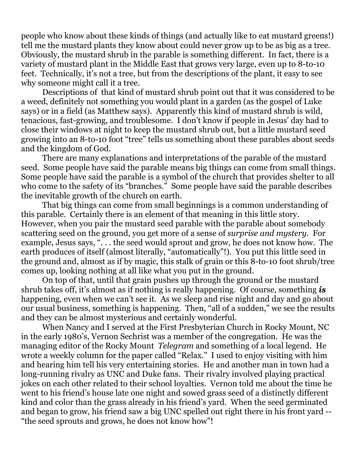people who know about these kinds of things (and actually like to eat mustard greens!) tell me the mustard plants they know about could never grow up to be as big as a tree. Obviously, the mustard shrub in the parable is something different. In fact, there is a variety of mustard plant in the Middle East that grows very large, even up to 8-to-10 feet. Technically, it's not a tree, but from the descriptions of the plant, it easy to see why someone might call it a tree.

 Descriptions of that kind of mustard shrub point out that it was considered to be a weed, definitely not something you would plant in a garden (as the gospel of Luke says) or in a field (as Matthew says). Apparently this kind of mustard shrub is wild, tenacious, fast-growing, and troublesome. I don't know if people in Jesus' day had to close their windows at night to keep the mustard shrub out, but a little mustard seed growing into an 8-to-10 foot "tree" tells us something about these parables about seeds and the kingdom of God.

 There are many explanations and interpretations of the parable of the mustard seed. Some people have said the parable means big things can come from small things. Some people have said the parable is a symbol of the church that provides shelter to all who come to the safety of its "branches." Some people have said the parable describes the inevitable growth of the church on earth.

 That big things can come from small beginnings is a common understanding of this parable. Certainly there is an element of that meaning in this little story. However, when you pair the mustard seed parable with the parable about somebody scattering seed on the ground, you get more of a sense of *surprise and mystery*. For example, Jesus says, ". . . the seed would sprout and grow, he does not know how. The earth produces of itself (almost literally, "automatically"!). You put this little seed in the ground and, almost as if by magic, this stalk of grain or this 8-to-10 foot shrub/tree comes up, looking nothing at all like what you put in the ground.

 On top of that, until that grain pushes up through the ground or the mustard shrub takes off, it's almost as if nothing is really happening. Of course, something *is* happening, even when we can't see it. As we sleep and rise night and day and go about our usual business, something is happening. Then, "all of a sudden," we see the results and they can be almost mysterious and certainly wonderful.

 When Nancy and I served at the First Presbyterian Church in Rocky Mount, NC in the early 1980's, Vernon Sechrist was a member of the congregation. He was the managing editor of the Rocky Mount *Telegram* and something of a local legend. He wrote a weekly column for the paper called "Relax." I used to enjoy visiting with him and hearing him tell his very entertaining stories. He and another man in town had a long-running rivalry as UNC and Duke fans. Their rivalry involved playing practical jokes on each other related to their school loyalties. Vernon told me about the time he went to his friend's house late one night and sowed grass seed of a distinctly different kind and color than the grass already in his friend's yard. When the seed germinated and began to grow, his friend saw a big UNC spelled out right there in his front yard -- "the seed sprouts and grows, he does not know how"!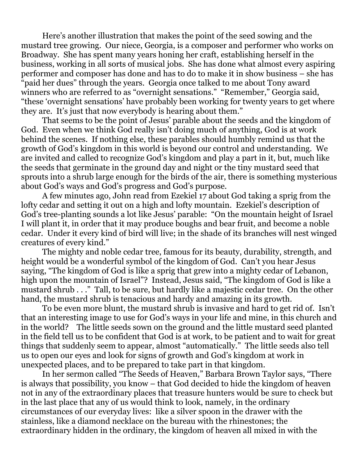Here's another illustration that makes the point of the seed sowing and the mustard tree growing. Our niece, Georgia, is a composer and performer who works on Broadway. She has spent many years honing her craft, establishing herself in the business, working in all sorts of musical jobs. She has done what almost every aspiring performer and composer has done and has to do to make it in show business – she has "paid her dues" through the years. Georgia once talked to me about Tony award winners who are referred to as "overnight sensations." "Remember," Georgia said, "these 'overnight sensations' have probably been working for twenty years to get where they are. It's just that now everybody is hearing about them."

 That seems to be the point of Jesus' parable about the seeds and the kingdom of God. Even when we think God really isn't doing much of anything, God is at work behind the scenes. If nothing else, these parables should humbly remind us that the growth of God's kingdom in this world is beyond our control and understanding. We are invited and called to recognize God's kingdom and play a part in it, but, much like the seeds that germinate in the ground day and night or the tiny mustard seed that sprouts into a shrub large enough for the birds of the air, there is something mysterious about God's ways and God's progress and God's purpose.

 A few minutes ago, John read from Ezekiel 17 about God taking a sprig from the lofty cedar and setting it out on a high and lofty mountain. Ezekiel's description of God's tree-planting sounds a lot like Jesus' parable: "On the mountain height of Israel I will plant it, in order that it may produce boughs and bear fruit, and become a noble cedar. Under it every kind of bird will live; in the shade of its branches will nest winged creatures of every kind."

 The mighty and noble cedar tree, famous for its beauty, durability, strength, and height would be a wonderful symbol of the kingdom of God. Can't you hear Jesus saying, "The kingdom of God is like a sprig that grew into a mighty cedar of Lebanon, high upon the mountain of Israel"? Instead, Jesus said, "The kingdom of God is like a mustard shrub . . ." Tall, to be sure, but hardly like a majestic cedar tree. On the other hand, the mustard shrub is tenacious and hardy and amazing in its growth.

To be even more blunt, the mustard shrub is invasive and hard to get rid of. Isn't that an interesting image to use for God's ways in your life and mine, in this church and in the world? The little seeds sown on the ground and the little mustard seed planted in the field tell us to be confident that God is at work, to be patient and to wait for great things that suddenly seem to appear, almost "automatically." The little seeds also tell us to open our eyes and look for signs of growth and God's kingdom at work in unexpected places, and to be prepared to take part in that kingdom.

In her sermon called "The Seeds of Heaven," Barbara Brown Taylor says, "There is always that possibility, you know – that God decided to hide the kingdom of heaven not in any of the extraordinary places that treasure hunters would be sure to check but in the last place that any of us would think to look, namely, in the ordinary circumstances of our everyday lives: like a silver spoon in the drawer with the stainless, like a diamond necklace on the bureau with the rhinestones; the extraordinary hidden in the ordinary, the kingdom of heaven all mixed in with the